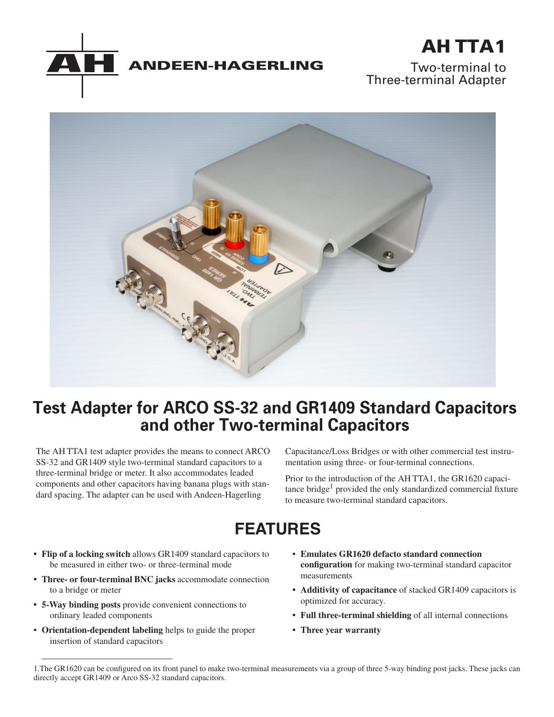



Two-terminal to Three-terminal Adapter



## **Test Adapter for ARCO SS-32 and GR1409 Standard Capacitors and other Two-terminal Capacitors**

The AH TTA1 test adapter provides the means to connect ARCO SS-32 and GR1409 style two-terminal standard capacitors to a three-terminal bridge or meter. It also accommodates leaded components and other capacitors having banana plugs with standard spacing. The adapter can be used with Andeen-Hagerling

Capacitance/Loss Bridges or with other commercial test instrumentation using three- or four-terminal connections.

Prior to the introduction of the AH TTA1, the GR1620 capacitance bridge<sup>1</sup> provided the only standardized commercial fixture to measure two-terminal standard capacitors.

# **FEATURES**

- **Flip of a locking switch** allows GR1409 standard capacitors to be measured in either two- or three-terminal mode
- **Three- or four-terminal BNC jacks** accommodate connection to a bridge or meter
- **5-Way binding posts** provide convenient connections to ordinary leaded components
- **Orientation-dependent labeling** helps to guide the proper insertion of standard capacitors
- **Emulates GR1620 defacto standard connection configuration** for making two-terminal standard capacitor measurements
- **Additivity of capacitance** of stacked GR1409 capacitors is optimized for accuracy.
- **Full three-terminal shielding** of all internal connections
- **Three year warranty**

<sup>1.</sup>The GR1620 can be configured on its front panel to make two-terminal measurements via a group of three 5-way binding post jacks. These jacks can directly accept GR1409 or Arco SS-32 standard capacitors.